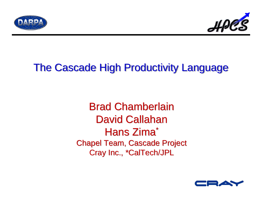



# The Cascade High Productivity Language

Brad Chamberlain Brad Chamberlain David Callahan David Callahan Hans Zima $\degree$ Chapel Team, Cascade Project Chapel Team, Cascade Project Cray Inc., \*CalTech/JPL Cray Inc., \*CalTech/JPLHans Zima\*

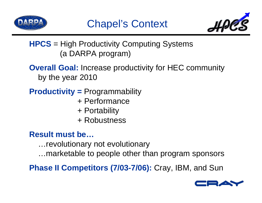



## **HPCS** = High Productivity Computing Systems (a DARPA program)

- **Overall Goal:** Increase productivity for HEC community by the year 2010
- **Productivity =** Programmability
	- + Performance
	- + Portability
	- + Robustness

# **Result must be…**

- …revolutionary not evolutionary
- …marketable to people other than program sponsors

**Phase II Competitors (7/03-7/06):** Cray, IBM, and Sun

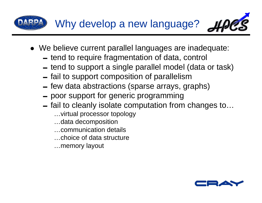

- We believe current parallel languages are inadequate:
	- $-$  tend to require fragmentation of data, control
	- $-$  tend to support a single parallel model (data or task)
	- $-$  fail to support composition of parallelism
	- few data abstractions (sparse arrays, graphs)
	- poor support for generic programming
	- $-$  fail to cleanly isolate computation from changes to...
		- …virtual processor topology
		- …data decomposition
		- …communication details
		- …choice of data structure
		- …memory layout

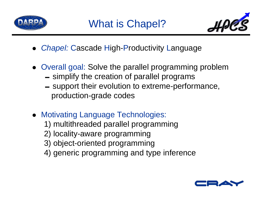



- $\bullet$ **• Chapel: Cascade High-Productivity Language**
- Overall goal: Solve the parallel programming problem  $-$  simplify the creation of parallel programs
	- support their evolution to extreme-performance, production-grade codes
- **Motivating Language Technologies:** 
	- 1) multithreaded parallel programming
	- 2) locality-aware programming
	- 3) object-oriented programming
	- 4) generic programming and type inference

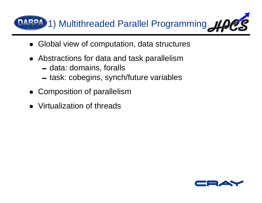

- Global view of computation, data structures
- Abstractions for data and task parallelism
	- data: domains, foralls
	- task: cobegins, synch/future variables
- Composition of parallelism
- Virtualization of threads

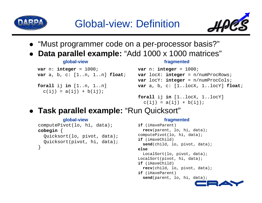



- "Must programmer code on a per-processor basis?"
- **Data parallel example:** "Add 1000 x 1000 matrices"

```
var n: integer = 1000;
var a, b, c: [1..n, 1..n] float;
```

```
forall ij in [1..n, 1..n]
 c(ij) = a(ij) + b(ij);
```
### **global-view fragmented**

```
var n: integer = 1000;
var locX: integer = n/numProcRows;
var locY: integer = n/numProcCols;
var a, b, c: [1..locX, 1..locY] float;
```

```
forall ij in [1..locX, 1..locY]
 c(ij) = a(ij) + b(ij);
```
## z **Task parallel example:** "Run Quicksort"

### **global-view fragmented**

```
computePivot(lo, hi, data);
cobegin {
  Quicksort(lo, pivot, data);
  Quicksort(pivot, hi, data);
}
```

```
if (iHaveParent)
  recv(parent, lo, hi, data);
computePivot(lo, hi, data);
if (iHaveChild)
  send(child, lo, pivot, data);
elseLocalSort(lo, pivot, data);
LocalSort(pivot, hi, data);
if (iHaveChild)
  recv(child, lo, pivot, data);
if (iHaveParent)
  send(parent, lo, hi, data);
```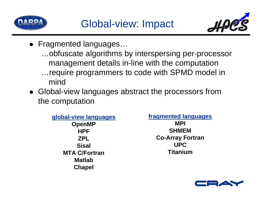



- Fragmented languages...
	- …obfuscate algorithms by interspersing per-processor management details in-line with the computation
	- …require programmers to code with SPMD model in mind
- Global-view languages abstract the processors from the computation

**global-view languages OpenMP HPFZPLSisal MTA C/FortranMatlabChapel**

**fragmented languages MPISHMEMCo-Array Fortran UPCTitanium**

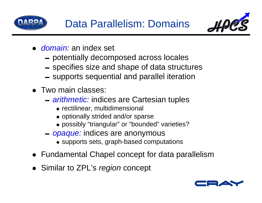



- z *domain:* an index set
	- $-$  potentially decomposed across locales
	- specifies size and shape of data structures
	- $-$  supports sequential and parallel iteration
- Two main classes:
	- <sup>0</sup>*arithmetic:* indices are Cartesian tuples
		- rectilinear, multidimensional
		- optionally strided and/or sparse
		- possibly "triangular" or "bounded" varieties?
	- <sup>0</sup>*opaque:* indices are anonymous
		- supports sets, graph-based computations
- Fundamental Chapel concept for data parallelism
- **Similar to ZPL's** *region* **concept**

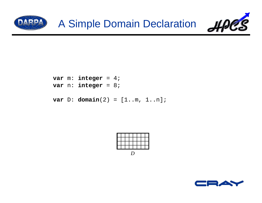



```
var m: integer = 4;
var n: integer = 8;
```

```
var D: domain(2) = [1..m, 1..n];
```


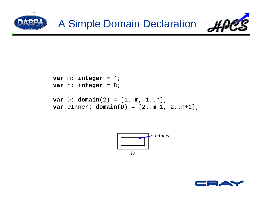



```
var m: integer = 4;
var n: integer = 8;
```

```
var D: domain(2) = [1..m, 1..n];
var DInner: domain(D) = [2..m-1, 2..n+1];
```


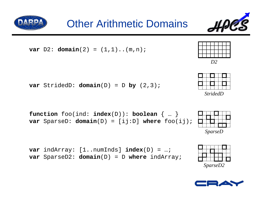

**var** StridedD: **domain**(D) = D **by** (2,3);

**var** D2: **domain**(2) = (1,1)..(m,n);

```
function foo(ind: index(D)): boolean { … }
var SparseD: domain(D) = [ij:D] where foo(ij);
```

```
var indArray: [1..numInds] index(D) = …;
var SparseD2: domain(D) = D where indArray;
```




*D2*











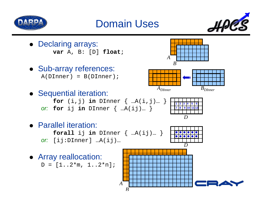

# Domain Uses



- Declaring arrays: **var** A, B: [D] **float**;
- Sub-array references:  $A(DInner) = B(DInner);$
- Sequential iteration: **for** (i,j) **in** DInner { …A(i,j)… } *or:* **for** ij **in** DInner { …A(ij)… }





|  |  |  |   |    |  | หิ |  |
|--|--|--|---|----|--|----|--|
|  |  |  | g | 10 |  | 12 |  |
|  |  |  |   |    |  |    |  |
|  |  |  |   |    |  |    |  |

- Parallel iteration: **forall** ij **in** DInner { …A(ij)… } *or:* [ij:DInner] …A(ij)…
- Array reallocation:  $D = [1..2$ \*m,  $1..2$ \*n];

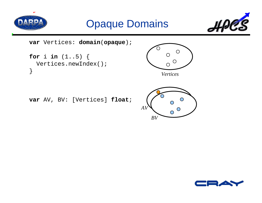

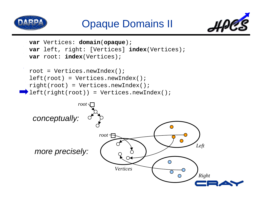



```
var Vertices: domain(opaque);
var left, right: [Vertices] index(Vertices);
var root: index(Vertices);
```

```
root = Vertices.newIndex();
left(root) = Vertices.newIndex();
right(root) = Vertices.newIndex();
left(right(root)) = Vertices.newIndex();
```
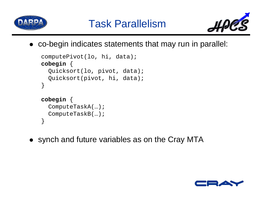

}



• co-begin indicates statements that may run in parallel:

```
computePivot(lo, hi, data);
cobegin
{
  Quicksort(lo, pivot, data);
  Quicksort(pivot, hi, data);
}
cobegin
{
  ComputeTaskA(…);
  ComputeTaskB(…);
```
• synch and future variables as on the Cray MTA

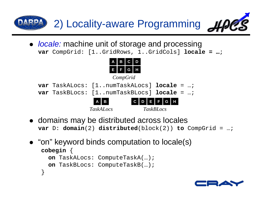2) Locality-aware Programming **•** *locale:* machine unit of storage and processing

**var** CompGrid: [1..GridRows, 1..GridCols] **locale = …**;



- domains may be distributed across locales **var** D: **domain**(2) **distributed**(block(2)) **to** CompGrid = …;
- "on" keyword binds computation to locale(s) **cobegin** { **on** TaskALocs: ComputeTaskA(…); **on** TaskBLocs: ComputeTaskB(…); }

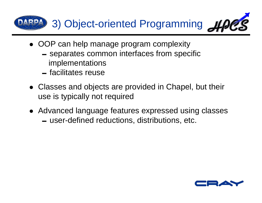

- OOP can help manage program complexity
	- separates common interfaces from specific implementations
	- facilitates reuse
- Classes and objects are provided in Chapel, but their use is typically not required
- Advanced language features expressed using classes
	- $-$  user-defined reductions, distributions, etc.

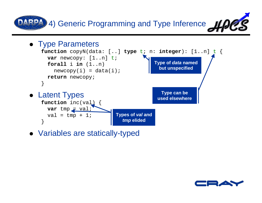4) Generic Programming and Type Inference



• Variables are statically-typed

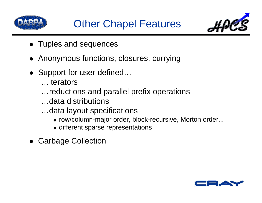



- Tuples and sequences
- Anonymous functions, closures, currying
- Support for user-defined...
	- …iterators
	- …reductions and parallel prefix operations
	- …data distributions
	- …data layout specifications
		- row/column-major order, block-recursive, Morton order...
		- $\bullet$  different sparse representations
- **Garbage Collection**

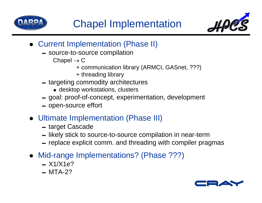



- Current Implementation (Phase II)
	- source-to-source compilation
		- Chapel  $\rightarrow$  C
			- + communication library (ARMCI, GASnet, ???)
			- + threading library
	- targeting commodity architectures
		- desktop workstations, clusters
	- goal: proof-of-concept, experimentation, development
	- open-source effort
- Ultimate Implementation (Phase III)
	- target Cascade
	- $\blacksquare$  likely stick to source-to-source compilation in near-term
	- $-$  replace explicit comm. and threading with compiler pragmas
- Mid-range Implementations? (Phase ???)
	- $-$  X1/X1e?
	- $-MTA-2?$